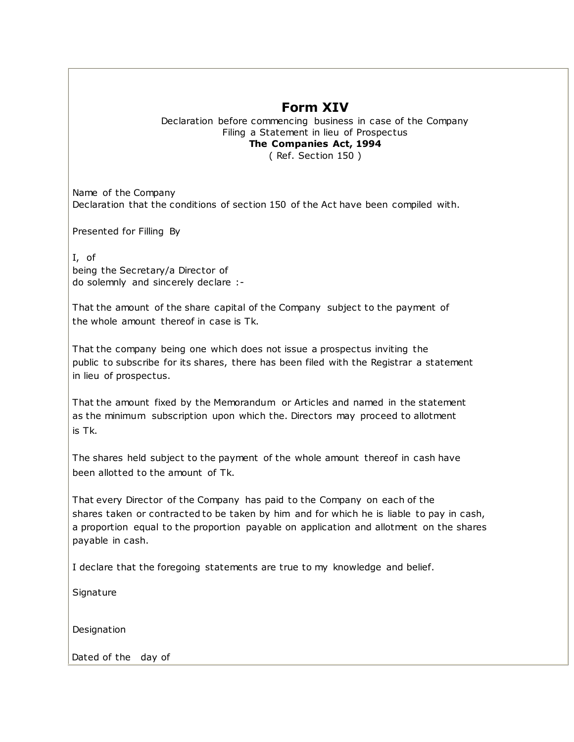## **Form XIV**

Declaration before commencing business in case of the Company Filing a Statement in lieu of Prospectus **The Companies Act, 1994** ( Ref. Section 150 )

Name of the Company Declaration that the conditions of section 150 of the Act have been compiled with.

Presented for Filling By

I, of being the Secretary/a Director of do solemnly and sincerely declare :-

That the amount of the share capital of the Company subject to the payment of the whole amount thereof in case is Tk.

That the company being one which does not issue a prospectus inviting the public to subscribe for its shares, there has been filed with the Registrar a statement in lieu of prospectus.

That the amount fixed by the Memorandum or Articles and named in the statement as the minimum subscription upon which the. Directors may proceed to allotment is Tk.

The shares held subject to the payment of the whole amount thereof in cash have been allotted to the amount of Tk.

That every Director of the Company has paid to the Company on each of the shares taken or contracted to be taken by him and for which he is liable to pay in cash, a proportion equal to the proportion payable on application and allotment on the shares payable in cash.

I declare that the foregoing statements are true to my knowledge and belief.

**Signature** 

**Designation** 

Dated of the day of